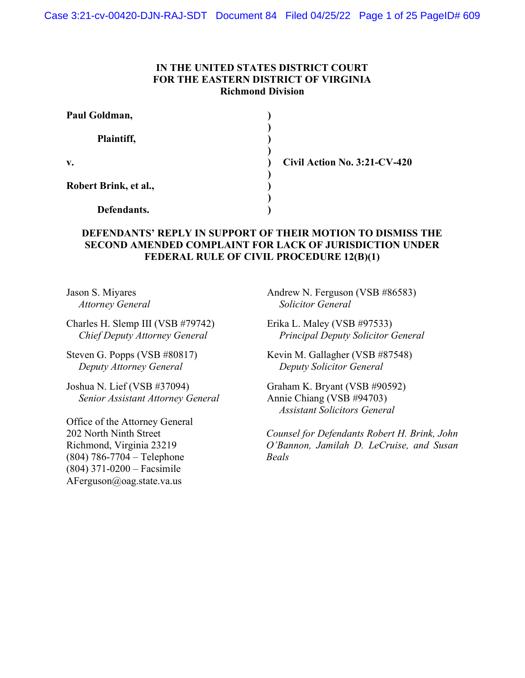# IN THE UNITED STATES DISTRICT COURT FOR THE EASTERN DISTRICT OF VIRGINIA Richmond Division

| Paul Goldman,         |  |
|-----------------------|--|
| Plaintiff,            |  |
| $V_{\bullet}$         |  |
| Robert Brink, et al., |  |
| Defendants.           |  |

Civil Action No. 3:21-CV-420

# DEFENDANTS' REPLY IN SUPPORT OF THEIR MOTION TO DISMISS THE SECOND AMENDED COMPLAINT FOR LACK OF JURISDICTION UNDER FEDERAL RULE OF CIVIL PROCEDURE 12(B)(1)

Jason S. Miyares Attorney General

Charles H. Slemp III (VSB #79742) Chief Deputy Attorney General

Steven G. Popps (VSB #80817) Deputy Attorney General

Joshua N. Lief (VSB #37094) Senior Assistant Attorney General

Office of the Attorney General 202 North Ninth Street Richmond, Virginia 23219 (804) 786-7704 – Telephone (804) 371-0200 – Facsimile AFerguson@oag.state.va.us

Andrew N. Ferguson (VSB #86583) Solicitor General

Erika L. Maley (VSB #97533) Principal Deputy Solicitor General

Kevin M. Gallagher (VSB #87548) Deputy Solicitor General

Graham K. Bryant (VSB #90592) Annie Chiang (VSB #94703) Assistant Solicitors General

Counsel for Defendants Robert H. Brink, John O'Bannon, Jamilah D. LeCruise, and Susan Beals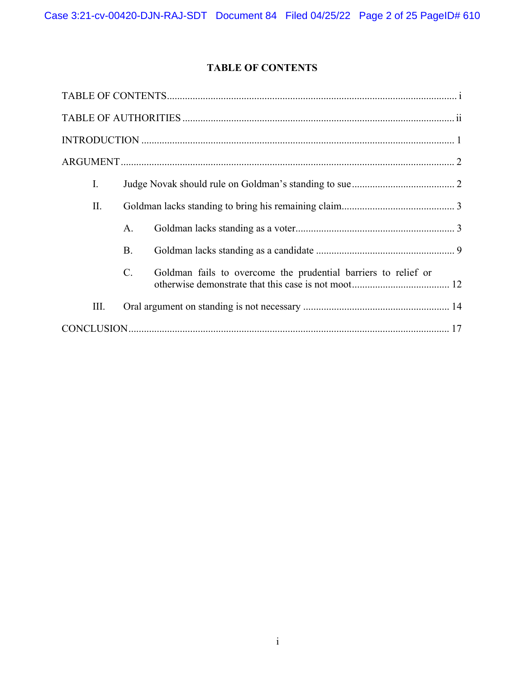# TABLE OF CONTENTS

| I.  |                 |                                                                |
|-----|-----------------|----------------------------------------------------------------|
| II. |                 |                                                                |
|     | A.              |                                                                |
|     | <b>B.</b>       |                                                                |
|     | $\mathcal{C}$ . | Goldman fails to overcome the prudential barriers to relief or |
| Ш.  |                 |                                                                |
|     |                 |                                                                |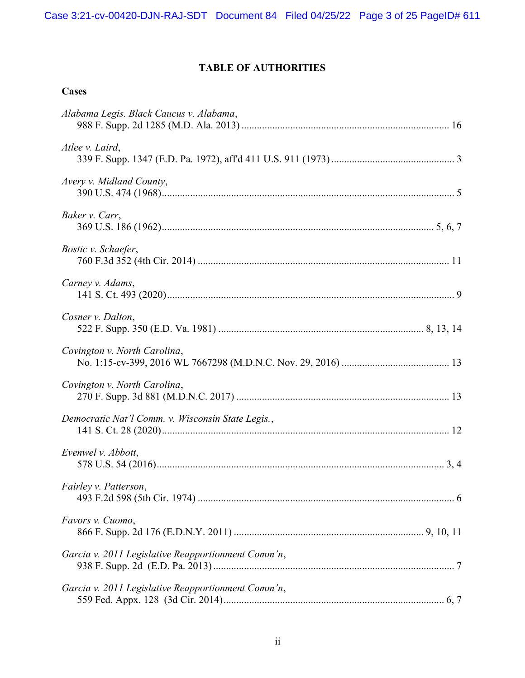# TABLE OF AUTHORITIES

# **Cases**

| Alabama Legis. Black Caucus v. Alabama,            |
|----------------------------------------------------|
| Atlee v. Laird,                                    |
| Avery v. Midland County,                           |
| Baker v. Carr,                                     |
| Bostic v. Schaefer,                                |
| Carney v. Adams,                                   |
| Cosner v. Dalton,                                  |
| Covington v. North Carolina,                       |
| Covington v. North Carolina,                       |
| Democratic Nat'l Comm. v. Wisconsin State Legis.,  |
| Evenwel v. Abbott,                                 |
| Fairley v. Patterson,                              |
| Favors v. Cuomo,                                   |
| Garcia v. 2011 Legislative Reapportionment Comm'n, |
| Garcia v. 2011 Legislative Reapportionment Comm'n, |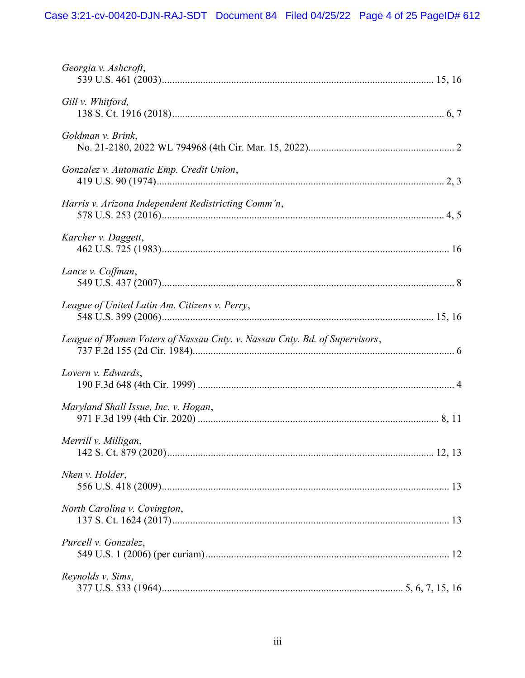| Georgia v. Ashcroft,                                                       |
|----------------------------------------------------------------------------|
| Gill v. Whitford,                                                          |
| Goldman v. Brink,                                                          |
| Gonzalez v. Automatic Emp. Credit Union,                                   |
| Harris v. Arizona Independent Redistricting Comm'n,                        |
| Karcher v. Daggett,                                                        |
| Lance v. Coffman,                                                          |
| League of United Latin Am. Citizens v. Perry,                              |
| League of Women Voters of Nassau Cnty. v. Nassau Cnty. Bd. of Supervisors, |
| Lovern v. Edwards,                                                         |
| Maryland Shall Issue, Inc. v. Hogan,                                       |
| Merrill v. Milligan,                                                       |
| Nken v. Holder,                                                            |
| North Carolina v. Covington,                                               |
| Purcell v. Gonzalez,                                                       |
| Reynolds v. Sims,                                                          |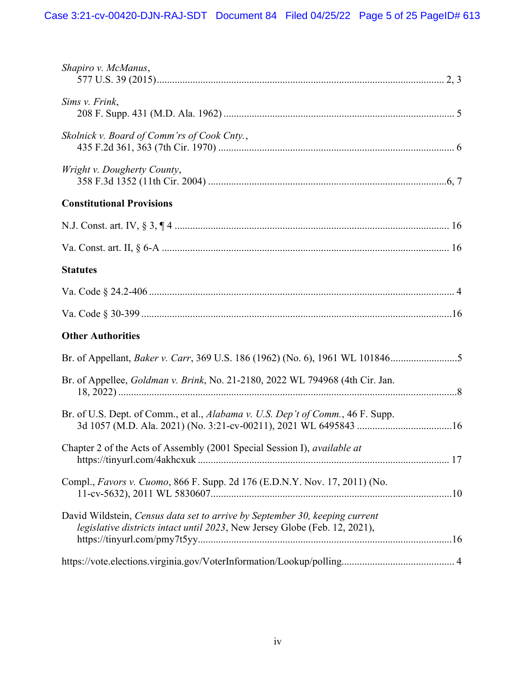| Shapiro v. McManus,                                                                                                                                       |
|-----------------------------------------------------------------------------------------------------------------------------------------------------------|
| Sims v. Frink,                                                                                                                                            |
| Skolnick v. Board of Comm'rs of Cook Cnty.,                                                                                                               |
| Wright v. Dougherty County,                                                                                                                               |
| <b>Constitutional Provisions</b>                                                                                                                          |
|                                                                                                                                                           |
|                                                                                                                                                           |
| <b>Statutes</b>                                                                                                                                           |
|                                                                                                                                                           |
|                                                                                                                                                           |
| <b>Other Authorities</b>                                                                                                                                  |
| Br. of Appellant, Baker v. Carr, 369 U.S. 186 (1962) (No. 6), 1961 WL 101846                                                                              |
| Br. of Appellee, Goldman v. Brink, No. 21-2180, 2022 WL 794968 (4th Cir. Jan.                                                                             |
| Br. of U.S. Dept. of Comm., et al., Alabama v. U.S. Dep't of Comm., 46 F. Supp.                                                                           |
| Chapter 2 of the Acts of Assembly (2001 Special Session I), available at                                                                                  |
| Compl., Favors v. Cuomo, 866 F. Supp. 2d 176 (E.D.N.Y. Nov. 17, 2011) (No.                                                                                |
| David Wildstein, Census data set to arrive by September 30, keeping current<br>legislative districts intact until 2023, New Jersey Globe (Feb. 12, 2021), |
|                                                                                                                                                           |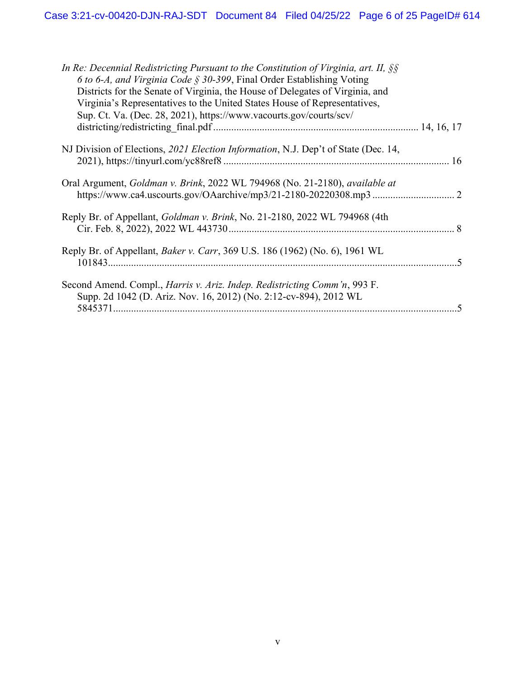| In Re: Decennial Redistricting Pursuant to the Constitution of Virginia, art. II, $\S$<br>6 to 6-A, and Virginia Code $\S$ 30-399, Final Order Establishing Voting |  |
|--------------------------------------------------------------------------------------------------------------------------------------------------------------------|--|
| Districts for the Senate of Virginia, the House of Delegates of Virginia, and                                                                                      |  |
| Virginia's Representatives to the United States House of Representatives,                                                                                          |  |
| Sup. Ct. Va. (Dec. 28, 2021), https://www.vacourts.gov/courts/scv/                                                                                                 |  |
|                                                                                                                                                                    |  |
| NJ Division of Elections, 2021 Election Information, N.J. Dep't of State (Dec. 14,                                                                                 |  |
|                                                                                                                                                                    |  |
| Oral Argument, Goldman v. Brink, 2022 WL 794968 (No. 21-2180), available at                                                                                        |  |
| Reply Br. of Appellant, <i>Goldman v. Brink</i> , No. 21-2180, 2022 WL 794968 (4th                                                                                 |  |
|                                                                                                                                                                    |  |
| Reply Br. of Appellant, <i>Baker v. Carr</i> , 369 U.S. 186 (1962) (No. 6), 1961 WL                                                                                |  |
|                                                                                                                                                                    |  |
| Second Amend. Compl., <i>Harris v. Ariz. Indep. Redistricting Comm'n</i> , 993 F.                                                                                  |  |
| Supp. 2d 1042 (D. Ariz. Nov. 16, 2012) (No. 2:12-cv-894), 2012 WL                                                                                                  |  |
|                                                                                                                                                                    |  |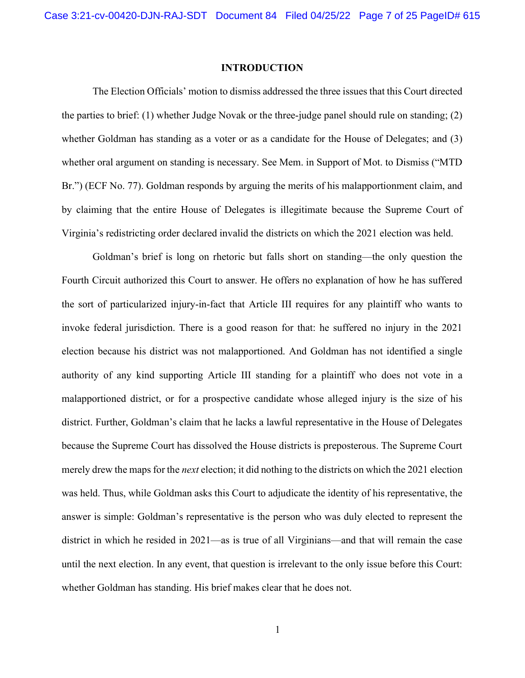### INTRODUCTION

The Election Officials' motion to dismiss addressed the three issues that this Court directed the parties to brief: (1) whether Judge Novak or the three-judge panel should rule on standing; (2) whether Goldman has standing as a voter or as a candidate for the House of Delegates; and (3) whether oral argument on standing is necessary. See Mem. in Support of Mot. to Dismiss ("MTD Br.") (ECF No. 77). Goldman responds by arguing the merits of his malapportionment claim, and by claiming that the entire House of Delegates is illegitimate because the Supreme Court of Virginia's redistricting order declared invalid the districts on which the 2021 election was held.

Goldman's brief is long on rhetoric but falls short on standing—the only question the Fourth Circuit authorized this Court to answer. He offers no explanation of how he has suffered the sort of particularized injury-in-fact that Article III requires for any plaintiff who wants to invoke federal jurisdiction. There is a good reason for that: he suffered no injury in the 2021 election because his district was not malapportioned. And Goldman has not identified a single authority of any kind supporting Article III standing for a plaintiff who does not vote in a malapportioned district, or for a prospective candidate whose alleged injury is the size of his district. Further, Goldman's claim that he lacks a lawful representative in the House of Delegates because the Supreme Court has dissolved the House districts is preposterous. The Supreme Court merely drew the maps for the *next* election; it did nothing to the districts on which the 2021 election was held. Thus, while Goldman asks this Court to adjudicate the identity of his representative, the answer is simple: Goldman's representative is the person who was duly elected to represent the district in which he resided in 2021—as is true of all Virginians—and that will remain the case until the next election. In any event, that question is irrelevant to the only issue before this Court: whether Goldman has standing. His brief makes clear that he does not.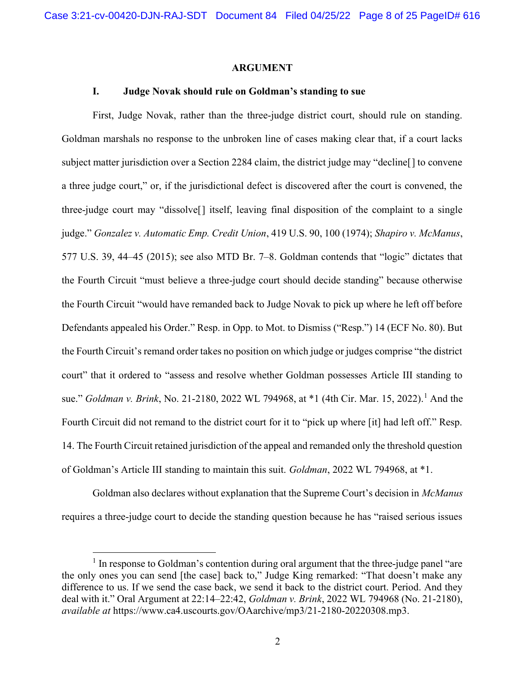### ARGUMENT

## I. Judge Novak should rule on Goldman's standing to sue

First, Judge Novak, rather than the three-judge district court, should rule on standing. Goldman marshals no response to the unbroken line of cases making clear that, if a court lacks subject matter jurisdiction over a Section 2284 claim, the district judge may "decline[] to convene a three judge court," or, if the jurisdictional defect is discovered after the court is convened, the three-judge court may "dissolve[] itself, leaving final disposition of the complaint to a single judge." Gonzalez v. Automatic Emp. Credit Union, 419 U.S. 90, 100 (1974); Shapiro v. McManus, 577 U.S. 39, 44–45 (2015); see also MTD Br. 7–8. Goldman contends that "logic" dictates that the Fourth Circuit "must believe a three-judge court should decide standing" because otherwise the Fourth Circuit "would have remanded back to Judge Novak to pick up where he left off before Defendants appealed his Order." Resp. in Opp. to Mot. to Dismiss ("Resp.") 14 (ECF No. 80). But the Fourth Circuit's remand order takes no position on which judge or judges comprise "the district court" that it ordered to "assess and resolve whether Goldman possesses Article III standing to sue." *Goldman v. Brink*, No. 21-2180, 2022 WL 794968, at \*1 (4th Cir. Mar. 15, 2022).<sup>1</sup> And the Fourth Circuit did not remand to the district court for it to "pick up where [it] had left off." Resp. 14. The Fourth Circuit retained jurisdiction of the appeal and remanded only the threshold question of Goldman's Article III standing to maintain this suit. Goldman, 2022 WL 794968, at \*1.

Goldman also declares without explanation that the Supreme Court's decision in McManus requires a three-judge court to decide the standing question because he has "raised serious issues

<sup>&</sup>lt;sup>1</sup> In response to Goldman's contention during oral argument that the three-judge panel "are the only ones you can send [the case] back to," Judge King remarked: "That doesn't make any difference to us. If we send the case back, we send it back to the district court. Period. And they deal with it." Oral Argument at 22:14–22:42, Goldman v. Brink, 2022 WL 794968 (No. 21-2180), available at https://www.ca4.uscourts.gov/OAarchive/mp3/21-2180-20220308.mp3.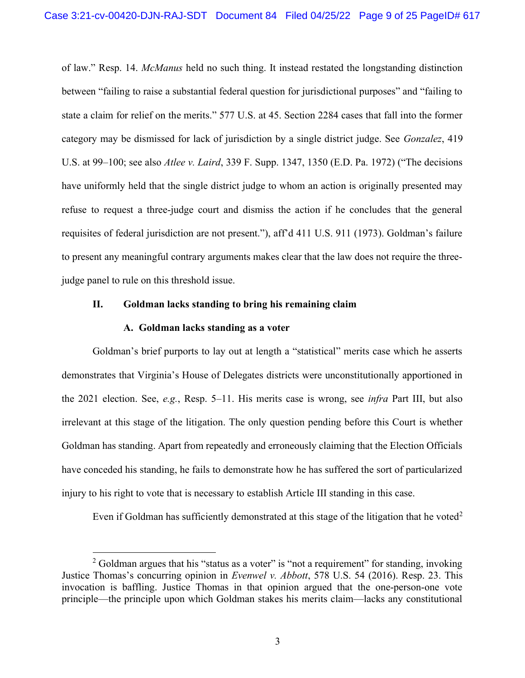of law." Resp. 14. McManus held no such thing. It instead restated the longstanding distinction between "failing to raise a substantial federal question for jurisdictional purposes" and "failing to state a claim for relief on the merits." 577 U.S. at 45. Section 2284 cases that fall into the former category may be dismissed for lack of jurisdiction by a single district judge. See Gonzalez, 419 U.S. at 99–100; see also Atlee v. Laird, 339 F. Supp. 1347, 1350 (E.D. Pa. 1972) ("The decisions have uniformly held that the single district judge to whom an action is originally presented may refuse to request a three-judge court and dismiss the action if he concludes that the general requisites of federal jurisdiction are not present."), aff'd 411 U.S. 911 (1973). Goldman's failure to present any meaningful contrary arguments makes clear that the law does not require the threejudge panel to rule on this threshold issue.

## II. Goldman lacks standing to bring his remaining claim

## A. Goldman lacks standing as a voter

Goldman's brief purports to lay out at length a "statistical" merits case which he asserts demonstrates that Virginia's House of Delegates districts were unconstitutionally apportioned in the 2021 election. See, e.g., Resp. 5–11. His merits case is wrong, see infra Part III, but also irrelevant at this stage of the litigation. The only question pending before this Court is whether Goldman has standing. Apart from repeatedly and erroneously claiming that the Election Officials have conceded his standing, he fails to demonstrate how he has suffered the sort of particularized injury to his right to vote that is necessary to establish Article III standing in this case.

Even if Goldman has sufficiently demonstrated at this stage of the litigation that he voted<sup>2</sup>

 $2$  Goldman argues that his "status as a voter" is "not a requirement" for standing, invoking Justice Thomas's concurring opinion in Evenwel v. Abbott, 578 U.S. 54 (2016). Resp. 23. This invocation is baffling. Justice Thomas in that opinion argued that the one-person-one vote principle—the principle upon which Goldman stakes his merits claim—lacks any constitutional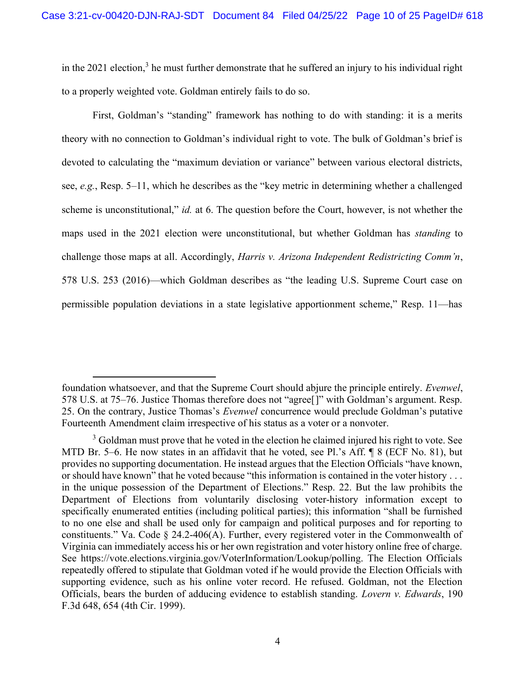in the 2021 election,<sup>3</sup> he must further demonstrate that he suffered an injury to his individual right to a properly weighted vote. Goldman entirely fails to do so.

First, Goldman's "standing" framework has nothing to do with standing: it is a merits theory with no connection to Goldman's individual right to vote. The bulk of Goldman's brief is devoted to calculating the "maximum deviation or variance" between various electoral districts, see, e.g., Resp. 5–11, which he describes as the "key metric in determining whether a challenged scheme is unconstitutional," *id.* at 6. The question before the Court, however, is not whether the maps used in the 2021 election were unconstitutional, but whether Goldman has standing to challenge those maps at all. Accordingly, *Harris v. Arizona Independent Redistricting Comm'n*, 578 U.S. 253 (2016)—which Goldman describes as "the leading U.S. Supreme Court case on permissible population deviations in a state legislative apportionment scheme," Resp. 11—has

foundation whatsoever, and that the Supreme Court should abjure the principle entirely. Evenwel, 578 U.S. at 75–76. Justice Thomas therefore does not "agree[]" with Goldman's argument. Resp. 25. On the contrary, Justice Thomas's Evenwel concurrence would preclude Goldman's putative Fourteenth Amendment claim irrespective of his status as a voter or a nonvoter.

 $3$  Goldman must prove that he voted in the election he claimed injured his right to vote. See MTD Br. 5–6. He now states in an affidavit that he voted, see Pl.'s Aff. ¶ 8 (ECF No. 81), but provides no supporting documentation. He instead argues that the Election Officials "have known, or should have known" that he voted because "this information is contained in the voter history . . . in the unique possession of the Department of Elections." Resp. 22. But the law prohibits the Department of Elections from voluntarily disclosing voter-history information except to specifically enumerated entities (including political parties); this information "shall be furnished to no one else and shall be used only for campaign and political purposes and for reporting to constituents." Va. Code § 24.2-406(A). Further, every registered voter in the Commonwealth of Virginia can immediately access his or her own registration and voter history online free of charge. See https://vote.elections.virginia.gov/VoterInformation/Lookup/polling. The Election Officials repeatedly offered to stipulate that Goldman voted if he would provide the Election Officials with supporting evidence, such as his online voter record. He refused. Goldman, not the Election Officials, bears the burden of adducing evidence to establish standing. Lovern v. Edwards, 190 F.3d 648, 654 (4th Cir. 1999).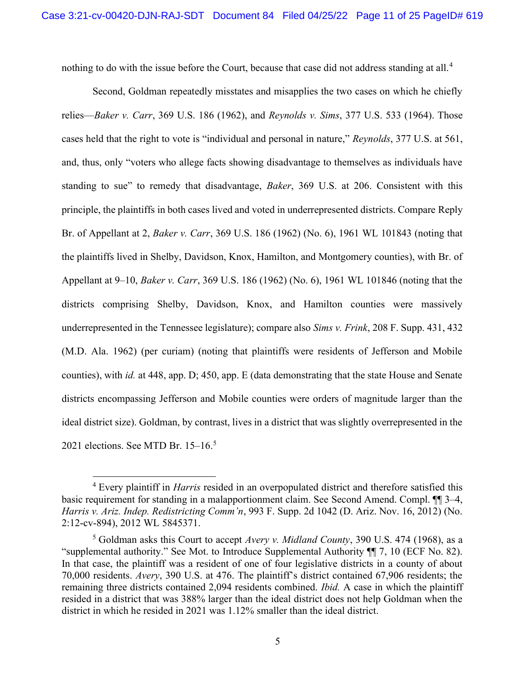nothing to do with the issue before the Court, because that case did not address standing at all.<sup>4</sup>

Second, Goldman repeatedly misstates and misapplies the two cases on which he chiefly relies—Baker v. Carr, 369 U.S. 186 (1962), and Revnolds v. Sims, 377 U.S. 533 (1964). Those cases held that the right to vote is "individual and personal in nature," Reynolds, 377 U.S. at 561, and, thus, only "voters who allege facts showing disadvantage to themselves as individuals have standing to sue" to remedy that disadvantage, *Baker*, 369 U.S. at 206. Consistent with this principle, the plaintiffs in both cases lived and voted in underrepresented districts. Compare Reply Br. of Appellant at 2, *Baker v. Carr*, 369 U.S. 186 (1962) (No. 6), 1961 WL 101843 (noting that the plaintiffs lived in Shelby, Davidson, Knox, Hamilton, and Montgomery counties), with Br. of Appellant at 9–10, Baker v. Carr, 369 U.S. 186 (1962) (No. 6), 1961 WL 101846 (noting that the districts comprising Shelby, Davidson, Knox, and Hamilton counties were massively underrepresented in the Tennessee legislature); compare also Sims v. Frink, 208 F. Supp. 431, 432 (M.D. Ala. 1962) (per curiam) (noting that plaintiffs were residents of Jefferson and Mobile counties), with id. at 448, app. D; 450, app. E (data demonstrating that the state House and Senate districts encompassing Jefferson and Mobile counties were orders of magnitude larger than the ideal district size). Goldman, by contrast, lives in a district that was slightly overrepresented in the 2021 elections. See MTD Br. 15–16.<sup>5</sup>

 $4$  Every plaintiff in *Harris* resided in an overpopulated district and therefore satisfied this basic requirement for standing in a malapportionment claim. See Second Amend. Compl. ¶¶ 3–4, Harris v. Ariz. Indep. Redistricting Comm'n, 993 F. Supp. 2d 1042 (D. Ariz. Nov. 16, 2012) (No. 2:12-cv-894), 2012 WL 5845371.

<sup>&</sup>lt;sup>5</sup> Goldman asks this Court to accept Avery v. Midland County, 390 U.S. 474 (1968), as a "supplemental authority." See Mot. to Introduce Supplemental Authority ¶¶ 7, 10 (ECF No. 82). In that case, the plaintiff was a resident of one of four legislative districts in a county of about 70,000 residents. Avery, 390 U.S. at 476. The plaintiff's district contained 67,906 residents; the remaining three districts contained 2,094 residents combined. Ibid. A case in which the plaintiff resided in a district that was 388% larger than the ideal district does not help Goldman when the district in which he resided in 2021 was 1.12% smaller than the ideal district.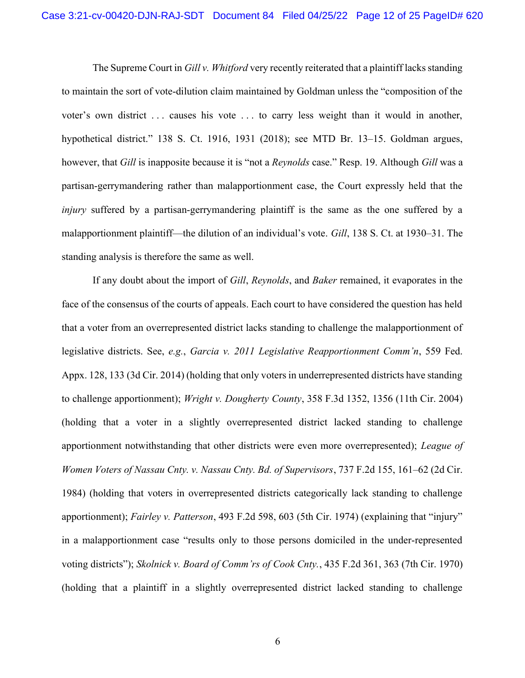The Supreme Court in Gill v. Whitford very recently reiterated that a plaintiff lacks standing to maintain the sort of vote-dilution claim maintained by Goldman unless the "composition of the voter's own district ... causes his vote ... to carry less weight than it would in another, hypothetical district." 138 S. Ct. 1916, 1931 (2018); see MTD Br. 13–15. Goldman argues, however, that Gill is inapposite because it is "not a *Reynolds* case." Resp. 19. Although Gill was a partisan-gerrymandering rather than malapportionment case, the Court expressly held that the injury suffered by a partisan-gerrymandering plaintiff is the same as the one suffered by a malapportionment plaintiff—the dilution of an individual's vote. Gill, 138 S. Ct. at 1930–31. The standing analysis is therefore the same as well.

If any doubt about the import of Gill, Reynolds, and Baker remained, it evaporates in the face of the consensus of the courts of appeals. Each court to have considered the question has held that a voter from an overrepresented district lacks standing to challenge the malapportionment of legislative districts. See, e.g., Garcia v. 2011 Legislative Reapportionment Comm'n, 559 Fed. Appx. 128, 133 (3d Cir. 2014) (holding that only voters in underrepresented districts have standing to challenge apportionment); Wright v. Dougherty County, 358 F.3d 1352, 1356 (11th Cir. 2004) (holding that a voter in a slightly overrepresented district lacked standing to challenge apportionment notwithstanding that other districts were even more overrepresented); League of Women Voters of Nassau Cnty. v. Nassau Cnty. Bd. of Supervisors, 737 F.2d 155, 161–62 (2d Cir. 1984) (holding that voters in overrepresented districts categorically lack standing to challenge apportionment); Fairley v. Patterson, 493 F.2d 598, 603 (5th Cir. 1974) (explaining that "injury" in a malapportionment case "results only to those persons domiciled in the under-represented voting districts"); Skolnick v. Board of Comm'rs of Cook Cnty., 435 F.2d 361, 363 (7th Cir. 1970) (holding that a plaintiff in a slightly overrepresented district lacked standing to challenge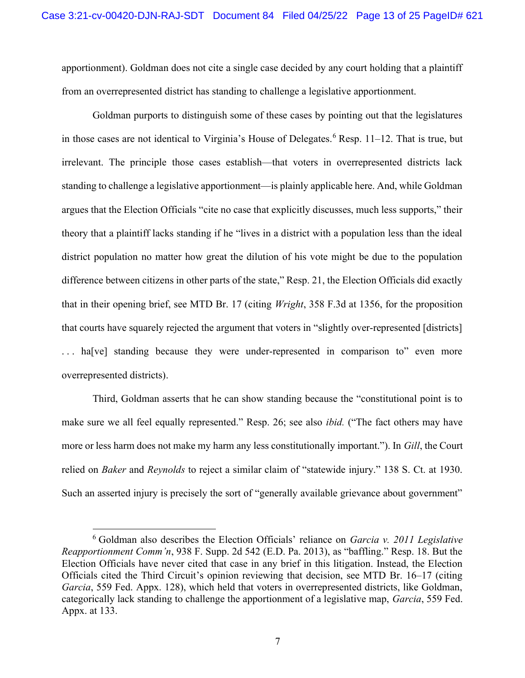apportionment). Goldman does not cite a single case decided by any court holding that a plaintiff from an overrepresented district has standing to challenge a legislative apportionment.

Goldman purports to distinguish some of these cases by pointing out that the legislatures in those cases are not identical to Virginia's House of Delegates.<sup>6</sup> Resp. 11–12. That is true, but irrelevant. The principle those cases establish—that voters in overrepresented districts lack standing to challenge a legislative apportionment—is plainly applicable here. And, while Goldman argues that the Election Officials "cite no case that explicitly discusses, much less supports," their theory that a plaintiff lacks standing if he "lives in a district with a population less than the ideal district population no matter how great the dilution of his vote might be due to the population difference between citizens in other parts of the state," Resp. 21, the Election Officials did exactly that in their opening brief, see MTD Br. 17 (citing Wright, 358 F.3d at 1356, for the proposition that courts have squarely rejected the argument that voters in "slightly over-represented [districts] ... ha[ve] standing because they were under-represented in comparison to" even more overrepresented districts).

Third, Goldman asserts that he can show standing because the "constitutional point is to make sure we all feel equally represented." Resp. 26; see also *ibid.* ("The fact others may have more or less harm does not make my harm any less constitutionally important."). In Gill, the Court relied on Baker and Reynolds to reject a similar claim of "statewide injury." 138 S. Ct. at 1930. Such an asserted injury is precisely the sort of "generally available grievance about government"

 $6$  Goldman also describes the Election Officials' reliance on *Garcia v. 2011 Legislative* Reapportionment Comm'n, 938 F. Supp. 2d 542 (E.D. Pa. 2013), as "baffling." Resp. 18. But the Election Officials have never cited that case in any brief in this litigation. Instead, the Election Officials cited the Third Circuit's opinion reviewing that decision, see MTD Br. 16–17 (citing Garcia, 559 Fed. Appx. 128), which held that voters in overrepresented districts, like Goldman, categorically lack standing to challenge the apportionment of a legislative map, Garcia, 559 Fed. Appx. at 133.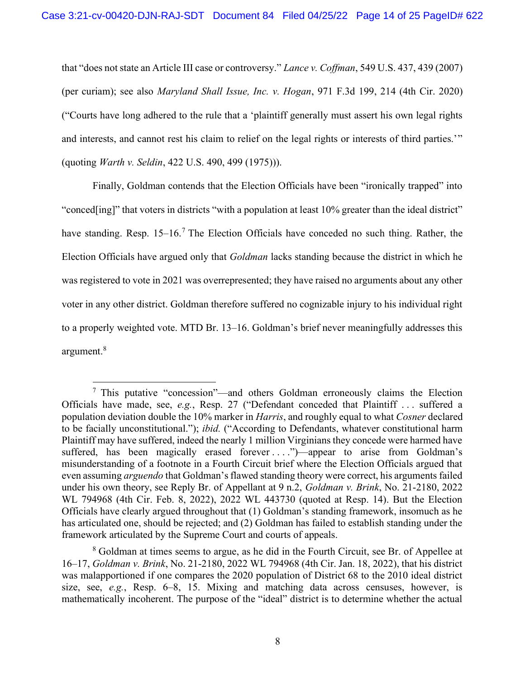that "does not state an Article III case or controversy." Lance v. Coffman, 549 U.S. 437, 439 (2007) (per curiam); see also Maryland Shall Issue, Inc. v. Hogan, 971 F.3d 199, 214 (4th Cir. 2020) ("Courts have long adhered to the rule that a 'plaintiff generally must assert his own legal rights and interests, and cannot rest his claim to relief on the legal rights or interests of third parties.'" (quoting Warth v. Seldin, 422 U.S. 490, 499 (1975))).

Finally, Goldman contends that the Election Officials have been "ironically trapped" into "conced[ing]" that voters in districts "with a population at least 10% greater than the ideal district" have standing. Resp. 15–16.<sup>7</sup> The Election Officials have conceded no such thing. Rather, the Election Officials have argued only that Goldman lacks standing because the district in which he was registered to vote in 2021 was overrepresented; they have raised no arguments about any other voter in any other district. Goldman therefore suffered no cognizable injury to his individual right to a properly weighted vote. MTD Br. 13–16. Goldman's brief never meaningfully addresses this argument.<sup>8</sup>

<sup>&</sup>lt;sup>7</sup> This putative "concession"—and others Goldman erroneously claims the Election Officials have made, see, e.g., Resp. 27 ("Defendant conceded that Plaintiff . . . suffered a population deviation double the 10% marker in *Harris*, and roughly equal to what *Cosner* declared to be facially unconstitutional."); ibid. ("According to Defendants, whatever constitutional harm Plaintiff may have suffered, indeed the nearly 1 million Virginians they concede were harmed have suffered, has been magically erased forever  $\dots$ .")—appear to arise from Goldman's misunderstanding of a footnote in a Fourth Circuit brief where the Election Officials argued that even assuming *arguendo* that Goldman's flawed standing theory were correct, his arguments failed under his own theory, see Reply Br. of Appellant at 9 n.2, *Goldman v. Brink*, No. 21-2180, 2022 WL 794968 (4th Cir. Feb. 8, 2022), 2022 WL 443730 (quoted at Resp. 14). But the Election Officials have clearly argued throughout that (1) Goldman's standing framework, insomuch as he has articulated one, should be rejected; and (2) Goldman has failed to establish standing under the framework articulated by the Supreme Court and courts of appeals.

<sup>&</sup>lt;sup>8</sup> Goldman at times seems to argue, as he did in the Fourth Circuit, see Br. of Appellee at 16–17, Goldman v. Brink, No. 21-2180, 2022 WL 794968 (4th Cir. Jan. 18, 2022), that his district was malapportioned if one compares the 2020 population of District 68 to the 2010 ideal district size, see, e.g., Resp. 6–8, 15. Mixing and matching data across censuses, however, is mathematically incoherent. The purpose of the "ideal" district is to determine whether the actual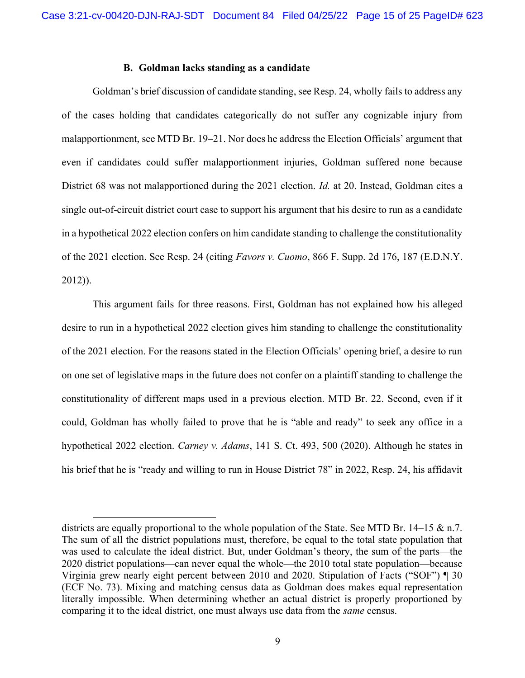### B. Goldman lacks standing as a candidate

Goldman's brief discussion of candidate standing, see Resp. 24, wholly fails to address any of the cases holding that candidates categorically do not suffer any cognizable injury from malapportionment, see MTD Br. 19–21. Nor does he address the Election Officials' argument that even if candidates could suffer malapportionment injuries, Goldman suffered none because District 68 was not malapportioned during the 2021 election. *Id.* at 20. Instead, Goldman cites a single out-of-circuit district court case to support his argument that his desire to run as a candidate in a hypothetical 2022 election confers on him candidate standing to challenge the constitutionality of the 2021 election. See Resp. 24 (citing Favors v. Cuomo, 866 F. Supp. 2d 176, 187 (E.D.N.Y. 2012)).

This argument fails for three reasons. First, Goldman has not explained how his alleged desire to run in a hypothetical 2022 election gives him standing to challenge the constitutionality of the 2021 election. For the reasons stated in the Election Officials' opening brief, a desire to run on one set of legislative maps in the future does not confer on a plaintiff standing to challenge the constitutionality of different maps used in a previous election. MTD Br. 22. Second, even if it could, Goldman has wholly failed to prove that he is "able and ready" to seek any office in a hypothetical 2022 election. Carney v. Adams, 141 S. Ct. 493, 500 (2020). Although he states in his brief that he is "ready and willing to run in House District 78" in 2022, Resp. 24, his affidavit

districts are equally proportional to the whole population of the State. See MTD Br. 14–15 & n.7. The sum of all the district populations must, therefore, be equal to the total state population that was used to calculate the ideal district. But, under Goldman's theory, the sum of the parts—the 2020 district populations—can never equal the whole—the 2010 total state population—because Virginia grew nearly eight percent between 2010 and 2020. Stipulation of Facts ("SOF") ¶ 30 (ECF No. 73). Mixing and matching census data as Goldman does makes equal representation literally impossible. When determining whether an actual district is properly proportioned by comparing it to the ideal district, one must always use data from the same census.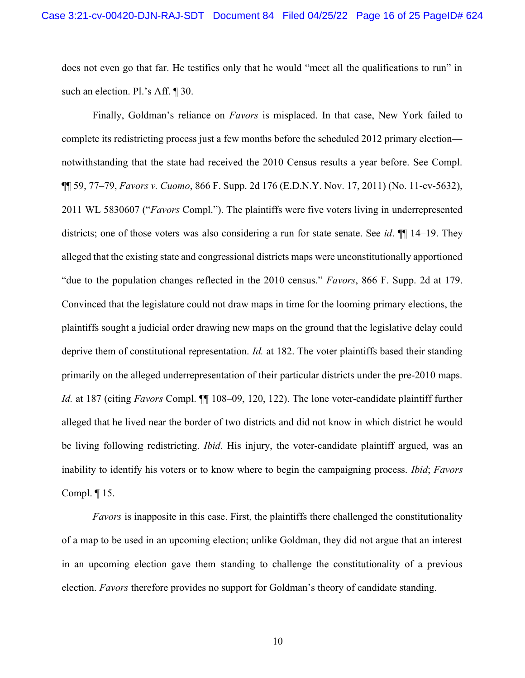does not even go that far. He testifies only that he would "meet all the qualifications to run" in such an election. Pl.'s Aff. ¶ 30.

Finally, Goldman's reliance on *Favors* is misplaced. In that case, New York failed to complete its redistricting process just a few months before the scheduled 2012 primary election notwithstanding that the state had received the 2010 Census results a year before. See Compl. ¶¶ 59, 77–79, Favors v. Cuomo, 866 F. Supp. 2d 176 (E.D.N.Y. Nov. 17, 2011) (No. 11-cv-5632), 2011 WL 5830607 ("Favors Compl."). The plaintiffs were five voters living in underrepresented districts; one of those voters was also considering a run for state senate. See *id*.  $\P$  14–19. They alleged that the existing state and congressional districts maps were unconstitutionally apportioned "due to the population changes reflected in the 2010 census." Favors, 866 F. Supp. 2d at 179. Convinced that the legislature could not draw maps in time for the looming primary elections, the plaintiffs sought a judicial order drawing new maps on the ground that the legislative delay could deprive them of constitutional representation. *Id.* at 182. The voter plaintiffs based their standing primarily on the alleged underrepresentation of their particular districts under the pre-2010 maps. Id. at 187 (citing Favors Compl.  $\P$  108–09, 120, 122). The lone voter-candidate plaintiff further alleged that he lived near the border of two districts and did not know in which district he would be living following redistricting. *Ibid*. His injury, the voter-candidate plaintiff argued, was an inability to identify his voters or to know where to begin the campaigning process. Ibid; Favors Compl. ¶ 15.

Favors is inapposite in this case. First, the plaintiffs there challenged the constitutionality of a map to be used in an upcoming election; unlike Goldman, they did not argue that an interest in an upcoming election gave them standing to challenge the constitutionality of a previous election. Favors therefore provides no support for Goldman's theory of candidate standing.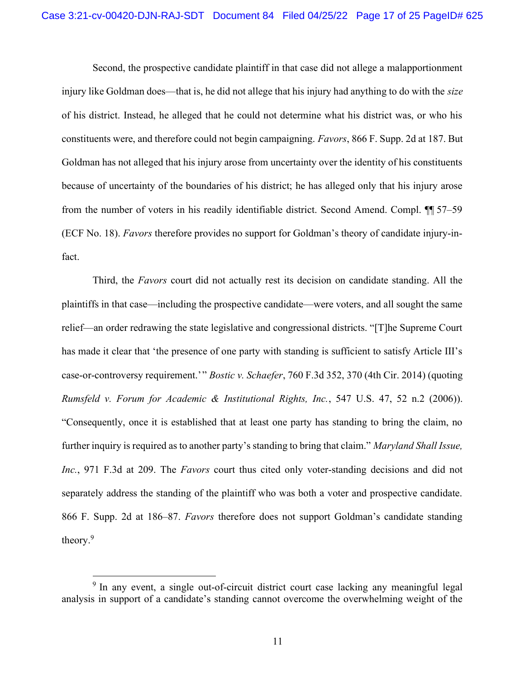Second, the prospective candidate plaintiff in that case did not allege a malapportionment injury like Goldman does—that is, he did not allege that his injury had anything to do with the *size* of his district. Instead, he alleged that he could not determine what his district was, or who his constituents were, and therefore could not begin campaigning. Favors, 866 F. Supp. 2d at 187. But Goldman has not alleged that his injury arose from uncertainty over the identity of his constituents because of uncertainty of the boundaries of his district; he has alleged only that his injury arose from the number of voters in his readily identifiable district. Second Amend. Compl. ¶¶ 57–59 (ECF No. 18). Favors therefore provides no support for Goldman's theory of candidate injury-infact.

Third, the Favors court did not actually rest its decision on candidate standing. All the plaintiffs in that case—including the prospective candidate—were voters, and all sought the same relief—an order redrawing the state legislative and congressional districts. "[T]he Supreme Court has made it clear that 'the presence of one party with standing is sufficient to satisfy Article III's case-or-controversy requirement.'" Bostic v. Schaefer, 760 F.3d 352, 370 (4th Cir. 2014) (quoting Rumsfeld v. Forum for Academic & Institutional Rights, Inc., 547 U.S. 47, 52 n.2 (2006)). "Consequently, once it is established that at least one party has standing to bring the claim, no further inquiry is required as to another party's standing to bring that claim." Maryland Shall Issue, Inc., 971 F.3d at 209. The Favors court thus cited only voter-standing decisions and did not separately address the standing of the plaintiff who was both a voter and prospective candidate. 866 F. Supp. 2d at 186–87. Favors therefore does not support Goldman's candidate standing theory.<sup>9</sup>

<sup>&</sup>lt;sup>9</sup> In any event, a single out-of-circuit district court case lacking any meaningful legal analysis in support of a candidate's standing cannot overcome the overwhelming weight of the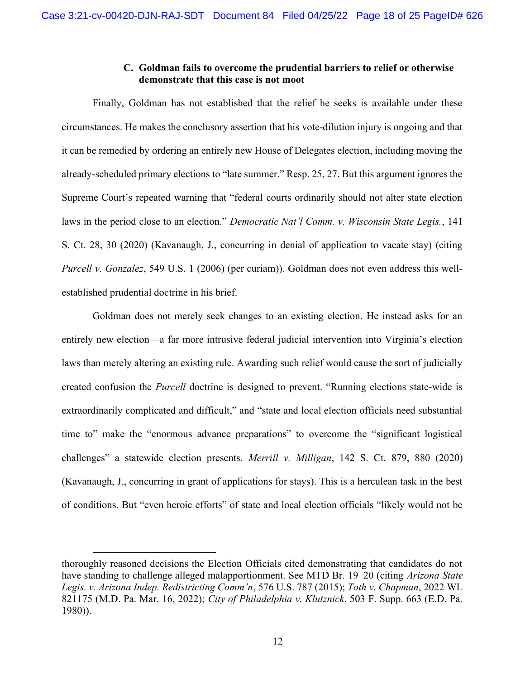# C. Goldman fails to overcome the prudential barriers to relief or otherwise demonstrate that this case is not moot

Finally, Goldman has not established that the relief he seeks is available under these circumstances. He makes the conclusory assertion that his vote-dilution injury is ongoing and that it can be remedied by ordering an entirely new House of Delegates election, including moving the already-scheduled primary elections to "late summer." Resp. 25, 27. But this argument ignores the Supreme Court's repeated warning that "federal courts ordinarily should not alter state election laws in the period close to an election." Democratic Nat'l Comm. v. Wisconsin State Legis., 141 S. Ct. 28, 30 (2020) (Kavanaugh, J., concurring in denial of application to vacate stay) (citing Purcell v. Gonzalez, 549 U.S. 1 (2006) (per curiam)). Goldman does not even address this wellestablished prudential doctrine in his brief.

Goldman does not merely seek changes to an existing election. He instead asks for an entirely new election—a far more intrusive federal judicial intervention into Virginia's election laws than merely altering an existing rule. Awarding such relief would cause the sort of judicially created confusion the Purcell doctrine is designed to prevent. "Running elections state-wide is extraordinarily complicated and difficult," and "state and local election officials need substantial time to" make the "enormous advance preparations" to overcome the "significant logistical challenges" a statewide election presents. Merrill v. Milligan, 142 S. Ct. 879, 880 (2020) (Kavanaugh, J., concurring in grant of applications for stays). This is a herculean task in the best of conditions. But "even heroic efforts" of state and local election officials "likely would not be

thoroughly reasoned decisions the Election Officials cited demonstrating that candidates do not have standing to challenge alleged malapportionment. See MTD Br. 19–20 (citing *Arizona State*) Legis. v. Arizona Indep. Redistricting Comm'n, 576 U.S. 787 (2015); Toth v. Chapman, 2022 WL 821175 (M.D. Pa. Mar. 16, 2022); City of Philadelphia v. Klutznick, 503 F. Supp. 663 (E.D. Pa. 1980)).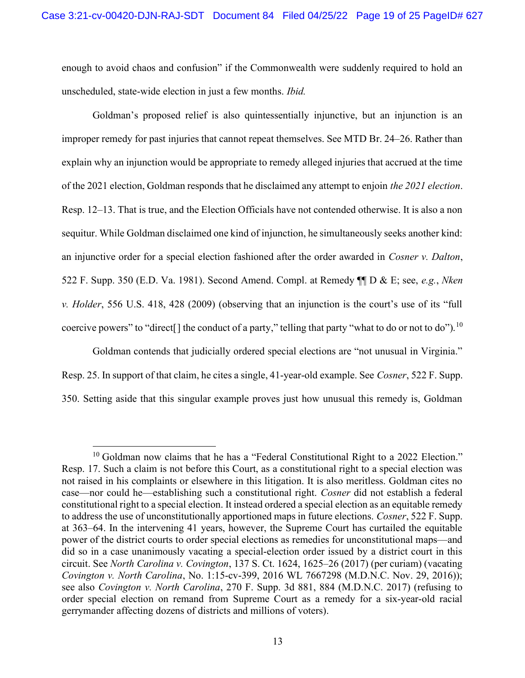enough to avoid chaos and confusion" if the Commonwealth were suddenly required to hold an unscheduled, state-wide election in just a few months. Ibid.

Goldman's proposed relief is also quintessentially injunctive, but an injunction is an improper remedy for past injuries that cannot repeat themselves. See MTD Br. 24–26. Rather than explain why an injunction would be appropriate to remedy alleged injuries that accrued at the time of the 2021 election, Goldman responds that he disclaimed any attempt to enjoin the 2021 election. Resp. 12–13. That is true, and the Election Officials have not contended otherwise. It is also a non sequitur. While Goldman disclaimed one kind of injunction, he simultaneously seeks another kind: an injunctive order for a special election fashioned after the order awarded in *Cosner v. Dalton*, 522 F. Supp. 350 (E.D. Va. 1981). Second Amend. Compl. at Remedy ¶¶ D & E; see, e.g., Nken v. Holder, 556 U.S. 418, 428 (2009) (observing that an injunction is the court's use of its "full coercive powers" to "direct. If the conduct of a party," telling that party "what to do or not to do"). <sup>10</sup>

 Goldman contends that judicially ordered special elections are "not unusual in Virginia." Resp. 25. In support of that claim, he cites a single, 41-year-old example. See Cosner, 522 F. Supp. 350. Setting aside that this singular example proves just how unusual this remedy is, Goldman

 $10$  Goldman now claims that he has a "Federal Constitutional Right to a 2022 Election." Resp. 17. Such a claim is not before this Court, as a constitutional right to a special election was not raised in his complaints or elsewhere in this litigation. It is also meritless. Goldman cites no case—nor could he—establishing such a constitutional right. Cosner did not establish a federal constitutional right to a special election. It instead ordered a special election as an equitable remedy to address the use of unconstitutionally apportioned maps in future elections. Cosner, 522 F. Supp. at 363–64. In the intervening 41 years, however, the Supreme Court has curtailed the equitable power of the district courts to order special elections as remedies for unconstitutional maps—and did so in a case unanimously vacating a special-election order issued by a district court in this circuit. See North Carolina v. Covington, 137 S. Ct. 1624, 1625–26 (2017) (per curiam) (vacating Covington v. North Carolina, No. 1:15-cv-399, 2016 WL 7667298 (M.D.N.C. Nov. 29, 2016)); see also Covington v. North Carolina, 270 F. Supp. 3d 881, 884 (M.D.N.C. 2017) (refusing to order special election on remand from Supreme Court as a remedy for a six-year-old racial gerrymander affecting dozens of districts and millions of voters).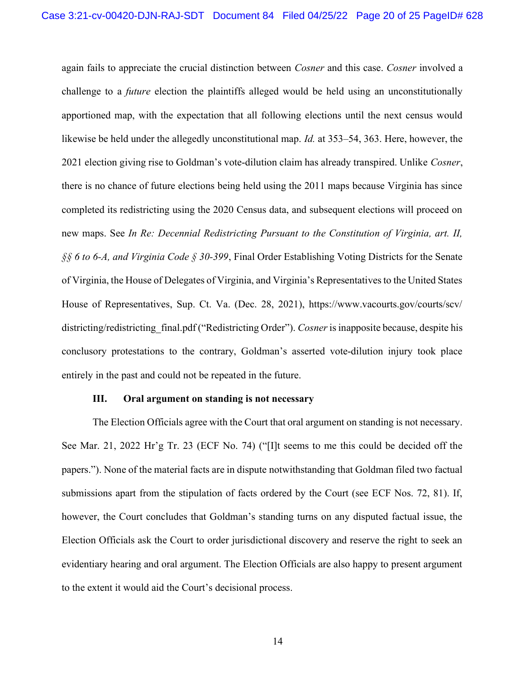again fails to appreciate the crucial distinction between Cosner and this case. Cosner involved a challenge to a *future* election the plaintiffs alleged would be held using an unconstitutionally apportioned map, with the expectation that all following elections until the next census would likewise be held under the allegedly unconstitutional map. *Id.* at 353–54, 363. Here, however, the 2021 election giving rise to Goldman's vote-dilution claim has already transpired. Unlike Cosner, there is no chance of future elections being held using the 2011 maps because Virginia has since completed its redistricting using the 2020 Census data, and subsequent elections will proceed on new maps. See In Re: Decennial Redistricting Pursuant to the Constitution of Virginia, art. II, §§ 6 to 6-A, and Virginia Code § 30-399, Final Order Establishing Voting Districts for the Senate of Virginia, the House of Delegates of Virginia, and Virginia's Representatives to the United States House of Representatives, Sup. Ct. Va. (Dec. 28, 2021), https://www.vacourts.gov/courts/scv/ districting/redistricting final.pdf ("Redistricting Order"). Cosner is inapposite because, despite his conclusory protestations to the contrary, Goldman's asserted vote-dilution injury took place entirely in the past and could not be repeated in the future.

### III. Oral argument on standing is not necessary

The Election Officials agree with the Court that oral argument on standing is not necessary. See Mar. 21, 2022 Hr'g Tr. 23 (ECF No. 74) ("[I]t seems to me this could be decided off the papers."). None of the material facts are in dispute notwithstanding that Goldman filed two factual submissions apart from the stipulation of facts ordered by the Court (see ECF Nos. 72, 81). If, however, the Court concludes that Goldman's standing turns on any disputed factual issue, the Election Officials ask the Court to order jurisdictional discovery and reserve the right to seek an evidentiary hearing and oral argument. The Election Officials are also happy to present argument to the extent it would aid the Court's decisional process.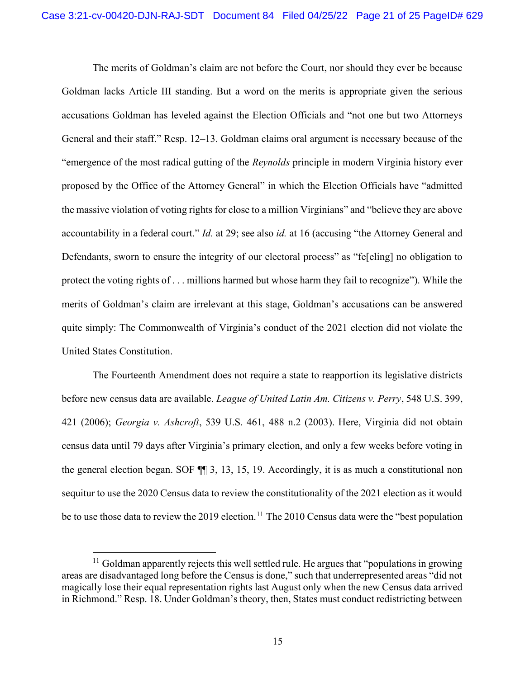The merits of Goldman's claim are not before the Court, nor should they ever be because Goldman lacks Article III standing. But a word on the merits is appropriate given the serious accusations Goldman has leveled against the Election Officials and "not one but two Attorneys General and their staff." Resp. 12–13. Goldman claims oral argument is necessary because of the "emergence of the most radical gutting of the Reynolds principle in modern Virginia history ever proposed by the Office of the Attorney General" in which the Election Officials have "admitted the massive violation of voting rights for close to a million Virginians" and "believe they are above accountability in a federal court." *Id.* at 29; see also *id.* at 16 (accusing "the Attorney General and Defendants, sworn to ensure the integrity of our electoral process" as "fe[eling] no obligation to protect the voting rights of . . . millions harmed but whose harm they fail to recognize"). While the merits of Goldman's claim are irrelevant at this stage, Goldman's accusations can be answered quite simply: The Commonwealth of Virginia's conduct of the 2021 election did not violate the United States Constitution.

The Fourteenth Amendment does not require a state to reapportion its legislative districts before new census data are available. *League of United Latin Am. Citizens v. Perry*, 548 U.S. 399, 421 (2006); Georgia v. Ashcroft, 539 U.S. 461, 488 n.2 (2003). Here, Virginia did not obtain census data until 79 days after Virginia's primary election, and only a few weeks before voting in the general election began. SOF ¶¶ 3, 13, 15, 19. Accordingly, it is as much a constitutional non sequitur to use the 2020 Census data to review the constitutionality of the 2021 election as it would be to use those data to review the 2019 election.<sup>11</sup> The 2010 Census data were the "best population"

 $<sup>11</sup>$  Goldman apparently rejects this well settled rule. He argues that "populations in growing</sup> areas are disadvantaged long before the Census is done," such that underrepresented areas "did not magically lose their equal representation rights last August only when the new Census data arrived in Richmond." Resp. 18. Under Goldman's theory, then, States must conduct redistricting between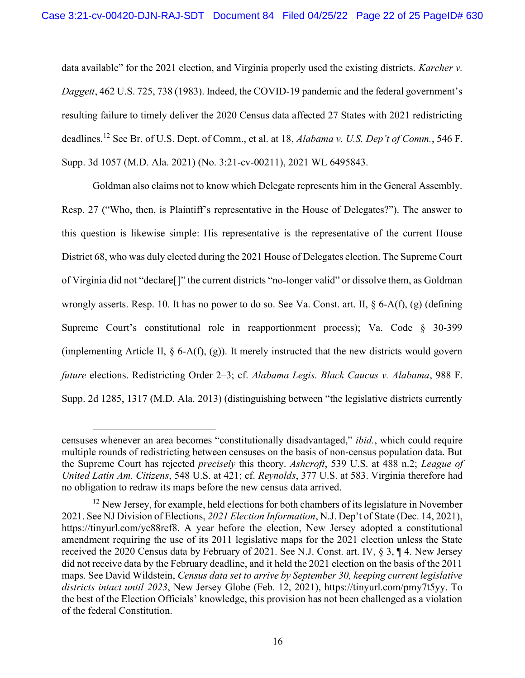data available" for the 2021 election, and Virginia properly used the existing districts. Karcher v. Daggett, 462 U.S. 725, 738 (1983). Indeed, the COVID-19 pandemic and the federal government's resulting failure to timely deliver the 2020 Census data affected 27 States with 2021 redistricting deadlines.<sup>12</sup> See Br. of U.S. Dept. of Comm., et al. at 18, Alabama v. U.S. Dep't of Comm., 546 F. Supp. 3d 1057 (M.D. Ala. 2021) (No. 3:21-cv-00211), 2021 WL 6495843.

Goldman also claims not to know which Delegate represents him in the General Assembly. Resp. 27 ("Who, then, is Plaintiff's representative in the House of Delegates?"). The answer to this question is likewise simple: His representative is the representative of the current House District 68, who was duly elected during the 2021 House of Delegates election. The Supreme Court of Virginia did not "declare[]" the current districts "no-longer valid" or dissolve them, as Goldman wrongly asserts. Resp. 10. It has no power to do so. See Va. Const. art. II, § 6-A(f), (g) (defining Supreme Court's constitutional role in reapportionment process); Va. Code § 30-399 (implementing Article II,  $\S$  6-A(f), (g)). It merely instructed that the new districts would govern future elections. Redistricting Order 2–3; cf. Alabama Legis. Black Caucus v. Alabama, 988 F. Supp. 2d 1285, 1317 (M.D. Ala. 2013) (distinguishing between "the legislative districts currently

censuses whenever an area becomes "constitutionally disadvantaged," ibid., which could require multiple rounds of redistricting between censuses on the basis of non-census population data. But the Supreme Court has rejected *precisely* this theory. Ashcroft, 539 U.S. at 488 n.2; League of United Latin Am. Citizens, 548 U.S. at 421; cf. Reynolds, 377 U.S. at 583. Virginia therefore had no obligation to redraw its maps before the new census data arrived.

 $12$  New Jersey, for example, held elections for both chambers of its legislature in November 2021. See NJ Division of Elections, 2021 Election Information, N.J. Dep't of State (Dec. 14, 2021), https://tinyurl.com/yc88ref8. A year before the election, New Jersey adopted a constitutional amendment requiring the use of its 2011 legislative maps for the 2021 election unless the State received the 2020 Census data by February of 2021. See N.J. Const. art. IV, § 3, ¶ 4. New Jersey did not receive data by the February deadline, and it held the 2021 election on the basis of the 2011 maps. See David Wildstein, Census data set to arrive by September 30, keeping current legislative districts intact until 2023, New Jersey Globe (Feb. 12, 2021), https://tinyurl.com/pmy7t5yy. To the best of the Election Officials' knowledge, this provision has not been challenged as a violation of the federal Constitution.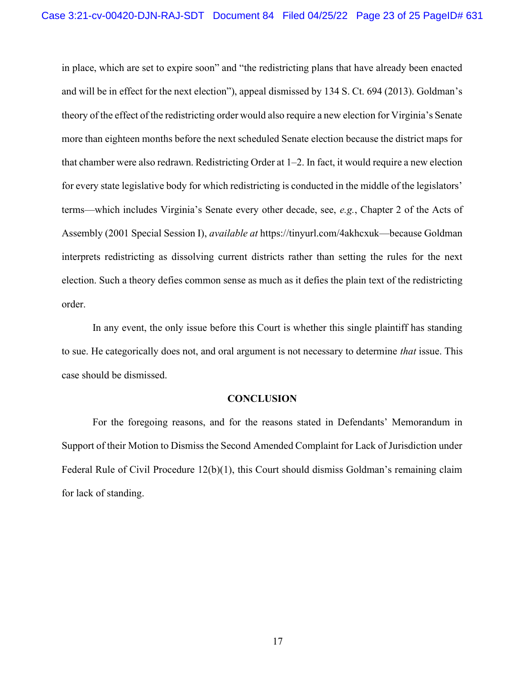in place, which are set to expire soon" and "the redistricting plans that have already been enacted and will be in effect for the next election"), appeal dismissed by 134 S. Ct. 694 (2013). Goldman's theory of the effect of the redistricting order would also require a new election for Virginia's Senate more than eighteen months before the next scheduled Senate election because the district maps for that chamber were also redrawn. Redistricting Order at 1–2. In fact, it would require a new election for every state legislative body for which redistricting is conducted in the middle of the legislators' terms—which includes Virginia's Senate every other decade, see, e.g., Chapter 2 of the Acts of Assembly (2001 Special Session I), available at https://tinyurl.com/4akhcxuk—because Goldman interprets redistricting as dissolving current districts rather than setting the rules for the next election. Such a theory defies common sense as much as it defies the plain text of the redistricting order.

In any event, the only issue before this Court is whether this single plaintiff has standing to sue. He categorically does not, and oral argument is not necessary to determine that issue. This case should be dismissed.

### **CONCLUSION**

For the foregoing reasons, and for the reasons stated in Defendants' Memorandum in Support of their Motion to Dismiss the Second Amended Complaint for Lack of Jurisdiction under Federal Rule of Civil Procedure 12(b)(1), this Court should dismiss Goldman's remaining claim for lack of standing.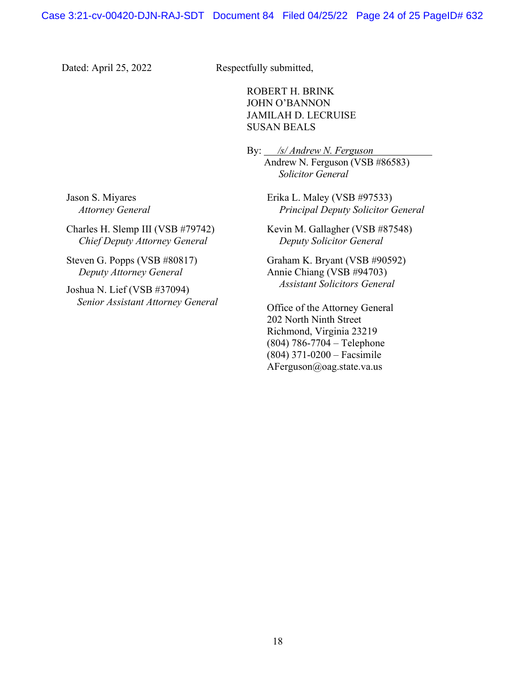Dated: April 25, 2022 Respectfully submitted,

ROBERT H. BRINK JOHN O'BANNON JAMILAH D. LECRUISE SUSAN BEALS

 By: /s/ Andrew N. Ferguson Andrew N. Ferguson (VSB #86583) Solicitor General

> Erika L. Maley (VSB #97533) Principal Deputy Solicitor General

Kevin M. Gallagher (VSB #87548) Deputy Solicitor General

Graham K. Bryant (VSB #90592) Annie Chiang (VSB #94703) Assistant Solicitors General

Office of the Attorney General 202 North Ninth Street Richmond, Virginia 23219 (804) 786-7704 – Telephone (804) 371-0200 – Facsimile AFerguson@oag.state.va.us

Jason S. Miyares Attorney General

Charles H. Slemp III (VSB #79742) Chief Deputy Attorney General

Steven G. Popps (VSB #80817) Deputy Attorney General

Joshua N. Lief (VSB #37094) Senior Assistant Attorney General